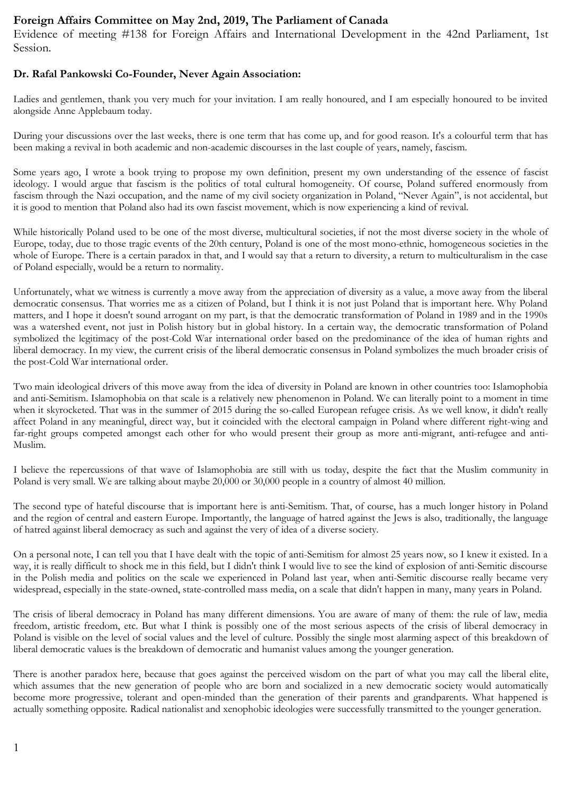## Foreign Affairs Committee on May 2nd, 2019, The Parliament of Canada

Evidence of meeting #138 for Foreign Affairs and International Development in the 42nd Parliament, 1st Session.

## Dr. Rafal Pankowski Co-Founder, Never Again Association:

Ladies and gentlemen, thank you very much for your invitation. I am really honoured, and I am especially honoured to be invited alongside Anne Applebaum today.

During your discussions over the last weeks, there is one term that has come up, and for good reason. It's a colourful term that has been making a revival in both academic and non-academic discourses in the last couple of years, namely, fascism.

Some years ago, I wrote a book trying to propose my own definition, present my own understanding of the essence of fascist ideology. I would argue that fascism is the politics of total cultural homogeneity. Of course, Poland suffered enormously from fascism through the Nazi occupation, and the name of my civil society organization in Poland, "Never Again", is not accidental, but it is good to mention that Poland also had its own fascist movement, which is now experiencing a kind of revival.

While historically Poland used to be one of the most diverse, multicultural societies, if not the most diverse society in the whole of Europe, today, due to those tragic events of the 20th century, Poland is one of the most mono-ethnic, homogeneous societies in the whole of Europe. There is a certain paradox in that, and I would say that a return to diversity, a return to multiculturalism in the case of Poland especially, would be a return to normality.

Unfortunately, what we witness is currently a move away from the appreciation of diversity as a value, a move away from the liberal democratic consensus. That worries me as a citizen of Poland, but I think it is not just Poland that is important here. Why Poland matters, and I hope it doesn't sound arrogant on my part, is that the democratic transformation of Poland in 1989 and in the 1990s was a watershed event, not just in Polish history but in global history. In a certain way, the democratic transformation of Poland symbolized the legitimacy of the post-Cold War international order based on the predominance of the idea of human rights and liberal democracy. In my view, the current crisis of the liberal democratic consensus in Poland symbolizes the much broader crisis of the post-Cold War international order.

Two main ideological drivers of this move away from the idea of diversity in Poland are known in other countries too: Islamophobia and anti-Semitism. Islamophobia on that scale is a relatively new phenomenon in Poland. We can literally point to a moment in time when it skyrocketed. That was in the summer of 2015 during the so-called European refugee crisis. As we well know, it didn't really affect Poland in any meaningful, direct way, but it coincided with the electoral campaign in Poland where different right-wing and far-right groups competed amongst each other for who would present their group as more anti-migrant, anti-refugee and anti-Muslim.

I believe the repercussions of that wave of Islamophobia are still with us today, despite the fact that the Muslim community in Poland is very small. We are talking about maybe 20,000 or 30,000 people in a country of almost 40 million.

The second type of hateful discourse that is important here is anti-Semitism. That, of course, has a much longer history in Poland and the region of central and eastern Europe. Importantly, the language of hatred against the Jews is also, traditionally, the language of hatred against liberal democracy as such and against the very of idea of a diverse society.

On a personal note, I can tell you that I have dealt with the topic of anti-Semitism for almost 25 years now, so I knew it existed. In a way, it is really difficult to shock me in this field, but I didn't think I would live to see the kind of explosion of anti-Semitic discourse in the Polish media and politics on the scale we experienced in Poland last year, when anti-Semitic discourse really became very widespread, especially in the state-owned, state-controlled mass media, on a scale that didn't happen in many, many years in Poland.

The crisis of liberal democracy in Poland has many different dimensions. You are aware of many of them: the rule of law, media freedom, artistic freedom, etc. But what I think is possibly one of the most serious aspects of the crisis of liberal democracy in Poland is visible on the level of social values and the level of culture. Possibly the single most alarming aspect of this breakdown of liberal democratic values is the breakdown of democratic and humanist values among the younger generation.

There is another paradox here, because that goes against the perceived wisdom on the part of what you may call the liberal elite, which assumes that the new generation of people who are born and socialized in a new democratic society would automatically become more progressive, tolerant and open-minded than the generation of their parents and grandparents. What happened is actually something opposite. Radical nationalist and xenophobic ideologies were successfully transmitted to the younger generation.